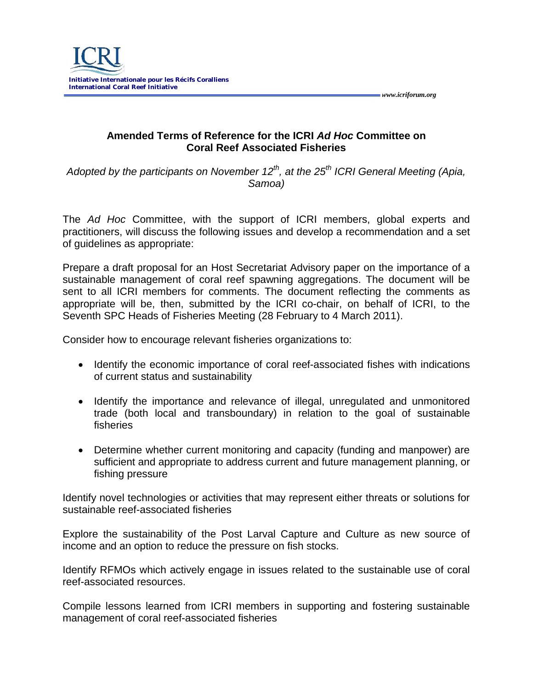

**Amended Terms of Reference for the ICRI** *Ad Hoc* **Committee on Coral Reef Associated Fisheries**

 *www.icriforum.org* 

*Adopted by the participants on November 12<sup>th</sup>, at the 25<sup>th</sup> ICRI General Meeting (Apia, Samoa)*

The *Ad Hoc* Committee, with the support of ICRI members, global experts and practitioners, will discuss the following issues and develop a recommendation and a set of guidelines as appropriate:

Prepare a draft proposal for an Host Secretariat Advisory paper on the importance of a sustainable management of coral reef spawning aggregations. The document will be sent to all ICRI members for comments. The document reflecting the comments as appropriate will be, then, submitted by the ICRI co-chair, on behalf of ICRI, to the Seventh SPC Heads of Fisheries Meeting (28 February to 4 March 2011).

Consider how to encourage relevant fisheries organizations to:

- Identify the economic importance of coral reef-associated fishes with indications of current status and sustainability
- Identify the importance and relevance of illegal, unregulated and unmonitored trade (both local and transboundary) in relation to the goal of sustainable fisheries
- Determine whether current monitoring and capacity (funding and manpower) are sufficient and appropriate to address current and future management planning, or fishing pressure

Identify novel technologies or activities that may represent either threats or solutions for sustainable reef-associated fisheries

Explore the sustainability of the Post Larval Capture and Culture as new source of income and an option to reduce the pressure on fish stocks.

Identify RFMOs which actively engage in issues related to the sustainable use of coral reef-associated resources.

Compile lessons learned from ICRI members in supporting and fostering sustainable management of coral reef-associated fisheries